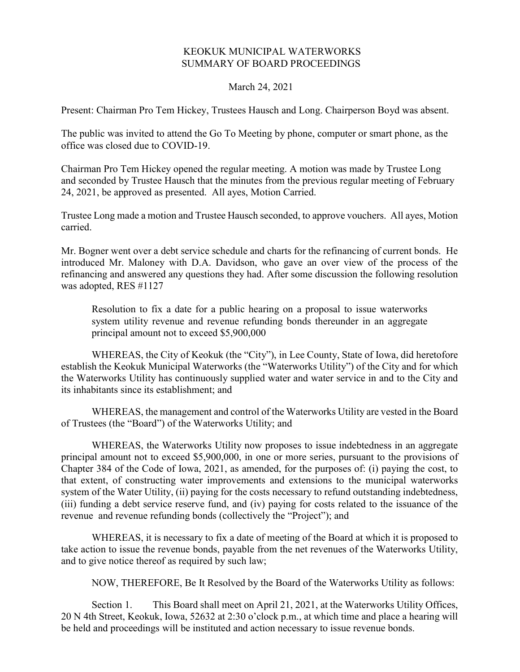## KEOKUK MUNICIPAL WATERWORKS SUMMARY OF BOARD PROCEEDINGS

March 24, 2021

Present: Chairman Pro Tem Hickey, Trustees Hausch and Long. Chairperson Boyd was absent.

The public was invited to attend the Go To Meeting by phone, computer or smart phone, as the office was closed due to COVID-19.

Chairman Pro Tem Hickey opened the regular meeting. A motion was made by Trustee Long and seconded by Trustee Hausch that the minutes from the previous regular meeting of February 24, 2021, be approved as presented. All ayes, Motion Carried.

Trustee Long made a motion and Trustee Hausch seconded, to approve vouchers. All ayes, Motion carried.

Mr. Bogner went over a debt service schedule and charts for the refinancing of current bonds. He introduced Mr. Maloney with D.A. Davidson, who gave an over view of the process of the refinancing and answered any questions they had. After some discussion the following resolution was adopted, RES #1127

Resolution to fix a date for a public hearing on a proposal to issue waterworks system utility revenue and revenue refunding bonds thereunder in an aggregate principal amount not to exceed \$5,900,000

WHEREAS, the City of Keokuk (the "City"), in Lee County, State of Iowa, did heretofore establish the Keokuk Municipal Waterworks (the "Waterworks Utility") of the City and for which the Waterworks Utility has continuously supplied water and water service in and to the City and its inhabitants since its establishment; and

WHEREAS, the management and control of the Waterworks Utility are vested in the Board of Trustees (the "Board") of the Waterworks Utility; and

WHEREAS, the Waterworks Utility now proposes to issue indebtedness in an aggregate principal amount not to exceed \$5,900,000, in one or more series, pursuant to the provisions of Chapter 384 of the Code of Iowa, 2021, as amended, for the purposes of: (i) paying the cost, to that extent, of constructing water improvements and extensions to the municipal waterworks system of the Water Utility, (ii) paying for the costs necessary to refund outstanding indebtedness, (iii) funding a debt service reserve fund, and (iv) paying for costs related to the issuance of the revenue and revenue refunding bonds (collectively the "Project"); and

WHEREAS, it is necessary to fix a date of meeting of the Board at which it is proposed to take action to issue the revenue bonds, payable from the net revenues of the Waterworks Utility, and to give notice thereof as required by such law;

NOW, THEREFORE, Be It Resolved by the Board of the Waterworks Utility as follows:

Section 1. This Board shall meet on April 21, 2021, at the Waterworks Utility Offices, 20 N 4th Street, Keokuk, Iowa, 52632 at 2:30 o'clock p.m., at which time and place a hearing will be held and proceedings will be instituted and action necessary to issue revenue bonds.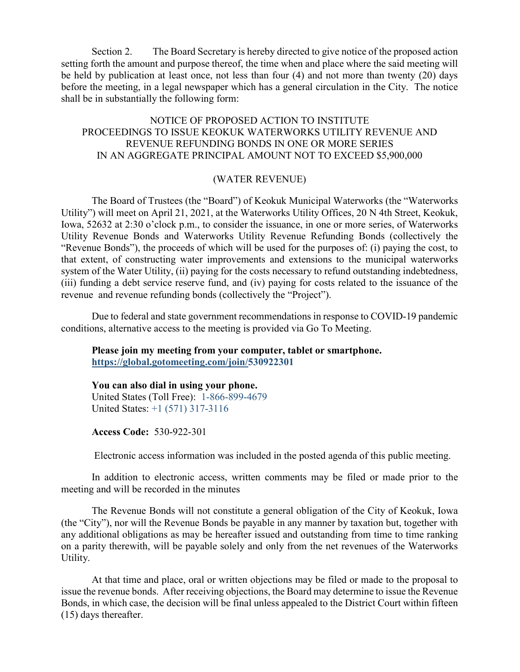Section 2. The Board Secretary is hereby directed to give notice of the proposed action setting forth the amount and purpose thereof, the time when and place where the said meeting will be held by publication at least once, not less than four (4) and not more than twenty (20) days before the meeting, in a legal newspaper which has a general circulation in the City. The notice shall be in substantially the following form:

NOTICE OF PROPOSED ACTION TO INSTITUTE PROCEEDINGS TO ISSUE KEOKUK WATERWORKS UTILITY REVENUE AND REVENUE REFUNDING BONDS IN ONE OR MORE SERIES IN AN AGGREGATE PRINCIPAL AMOUNT NOT TO EXCEED \$5,900,000

## (WATER REVENUE)

The Board of Trustees (the "Board") of Keokuk Municipal Waterworks (the "Waterworks Utility") will meet on April 21, 2021, at the Waterworks Utility Offices, 20 N 4th Street, Keokuk, Iowa, 52632 at 2:30 o'clock p.m., to consider the issuance, in one or more series, of Waterworks Utility Revenue Bonds and Waterworks Utility Revenue Refunding Bonds (collectively the "Revenue Bonds"), the proceeds of which will be used for the purposes of: (i) paying the cost, to that extent, of constructing water improvements and extensions to the municipal waterworks system of the Water Utility, (ii) paying for the costs necessary to refund outstanding indebtedness, (iii) funding a debt service reserve fund, and (iv) paying for costs related to the issuance of the revenue and revenue refunding bonds (collectively the "Project").

Due to federal and state government recommendations in response to COVID-19 pandemic conditions, alternative access to the meeting is provided via Go To Meeting.

Please join my meeting from your computer, tablet or smartphone. https://global.gotomeeting.com/join/530922301

You can also dial in using your phone. United States (Toll Free): 1-866-899-4679 United States: +1 (571) 317-3116

Access Code: 530-922-301

Electronic access information was included in the posted agenda of this public meeting.

In addition to electronic access, written comments may be filed or made prior to the meeting and will be recorded in the minutes

The Revenue Bonds will not constitute a general obligation of the City of Keokuk, Iowa (the "City"), nor will the Revenue Bonds be payable in any manner by taxation but, together with any additional obligations as may be hereafter issued and outstanding from time to time ranking on a parity therewith, will be payable solely and only from the net revenues of the Waterworks Utility.

At that time and place, oral or written objections may be filed or made to the proposal to issue the revenue bonds. After receiving objections, the Board may determine to issue the Revenue Bonds, in which case, the decision will be final unless appealed to the District Court within fifteen (15) days thereafter.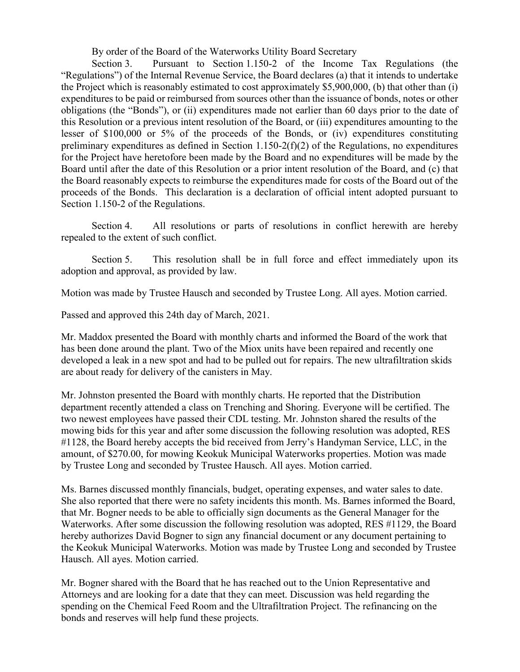By order of the Board of the Waterworks Utility Board Secretary

Section 3. Pursuant to Section 1.150-2 of the Income Tax Regulations (the "Regulations") of the Internal Revenue Service, the Board declares (a) that it intends to undertake the Project which is reasonably estimated to cost approximately \$5,900,000, (b) that other than (i) expenditures to be paid or reimbursed from sources other than the issuance of bonds, notes or other obligations (the "Bonds"), or (ii) expenditures made not earlier than 60 days prior to the date of this Resolution or a previous intent resolution of the Board, or (iii) expenditures amounting to the lesser of \$100,000 or 5% of the proceeds of the Bonds, or (iv) expenditures constituting preliminary expenditures as defined in Section  $1.150-2(f)(2)$  of the Regulations, no expenditures for the Project have heretofore been made by the Board and no expenditures will be made by the Board until after the date of this Resolution or a prior intent resolution of the Board, and (c) that the Board reasonably expects to reimburse the expenditures made for costs of the Board out of the proceeds of the Bonds. This declaration is a declaration of official intent adopted pursuant to Section 1.150-2 of the Regulations.

Section 4. All resolutions or parts of resolutions in conflict herewith are hereby repealed to the extent of such conflict.

Section 5. This resolution shall be in full force and effect immediately upon its adoption and approval, as provided by law.

Motion was made by Trustee Hausch and seconded by Trustee Long. All ayes. Motion carried.

Passed and approved this 24th day of March, 2021.

Mr. Maddox presented the Board with monthly charts and informed the Board of the work that has been done around the plant. Two of the Miox units have been repaired and recently one developed a leak in a new spot and had to be pulled out for repairs. The new ultrafiltration skids are about ready for delivery of the canisters in May.

Mr. Johnston presented the Board with monthly charts. He reported that the Distribution department recently attended a class on Trenching and Shoring. Everyone will be certified. The two newest employees have passed their CDL testing. Mr. Johnston shared the results of the mowing bids for this year and after some discussion the following resolution was adopted, RES #1128, the Board hereby accepts the bid received from Jerry's Handyman Service, LLC, in the amount, of \$270.00, for mowing Keokuk Municipal Waterworks properties. Motion was made by Trustee Long and seconded by Trustee Hausch. All ayes. Motion carried.

Ms. Barnes discussed monthly financials, budget, operating expenses, and water sales to date. She also reported that there were no safety incidents this month. Ms. Barnes informed the Board, that Mr. Bogner needs to be able to officially sign documents as the General Manager for the Waterworks. After some discussion the following resolution was adopted, RES #1129, the Board hereby authorizes David Bogner to sign any financial document or any document pertaining to the Keokuk Municipal Waterworks. Motion was made by Trustee Long and seconded by Trustee Hausch. All ayes. Motion carried.

Mr. Bogner shared with the Board that he has reached out to the Union Representative and Attorneys and are looking for a date that they can meet. Discussion was held regarding the spending on the Chemical Feed Room and the Ultrafiltration Project. The refinancing on the bonds and reserves will help fund these projects.